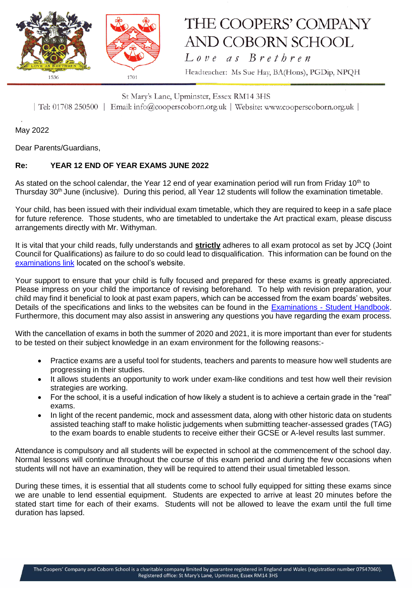

## THE COOPERS' COMPANY **AND COBORN SCHOOL**  $Love$  as  $B$ rethren

Headteacher: Ms Sue Hay, BA(Hons), PGDip, NPQH

St Mary's Lane, Upminster, Essex RM14 3HS | Tel: 01708 250500 | Email: info@cooperscoborn.org.uk | Website: www.cooperscoborn.org.uk |

May 2022

Dear Parents/Guardians,

## **Re: YEAR 12 END OF YEAR EXAMS JUNE 2022**

As stated on the school calendar, the Year 12 end of year examination period will run from Friday 10<sup>th</sup> to Thursday 30th June (inclusive). During this period, all Year 12 students will follow the examination timetable.

Your child, has been issued with their individual exam timetable, which they are required to keep in a safe place for future reference. Those students, who are timetabled to undertake the Art practical exam, please discuss arrangements directly with Mr. Withyman.

It is vital that your child reads, fully understands and **strictly** adheres to all exam protocol as set by JCQ (Joint Council for Qualifications) as failure to do so could lead to disqualification. This information can be found on the [examinations link](https://www.cooperscoborn.org.uk/examinations/#tab-id-2) located on the school's website.

Your support to ensure that your child is fully focused and prepared for these exams is greatly appreciated. Please impress on your child the importance of revising beforehand. To help with revision preparation, your child may find it beneficial to look at past exam papers, which can be accessed from the exam boards' websites. Details of the specifications and links to the websites can be found in the Examinations - [Student Handbook.](https://www.cooperscoborn.org.uk/wp-content/uploads/2021/11/Student-Examination-handbook.pdf) Furthermore, this document may also assist in answering any questions you have regarding the exam process.

With the cancellation of exams in both the summer of 2020 and 2021, it is more important than ever for students to be tested on their subject knowledge in an exam environment for the following reasons:-

- Practice exams are a useful tool for students, teachers and parents to measure how well students are progressing in their studies.
- It allows students an opportunity to work under exam-like conditions and test how well their revision strategies are working.
- For the school, it is a useful indication of how likely a student is to achieve a certain grade in the "real" exams.
- In light of the recent pandemic, mock and assessment data, along with other historic data on students assisted teaching staff to make holistic judgements when submitting teacher-assessed grades (TAG) to the exam boards to enable students to receive either their GCSE or A-level results last summer.

Attendance is compulsory and all students will be expected in school at the commencement of the school day. Normal lessons will continue throughout the course of this exam period and during the few occasions when students will not have an examination, they will be required to attend their usual timetabled lesson.

During these times, it is essential that all students come to school fully equipped for sitting these exams since we are unable to lend essential equipment. Students are expected to arrive at least 20 minutes before the stated start time for each of their exams. Students will not be allowed to leave the exam until the full time duration has lapsed.